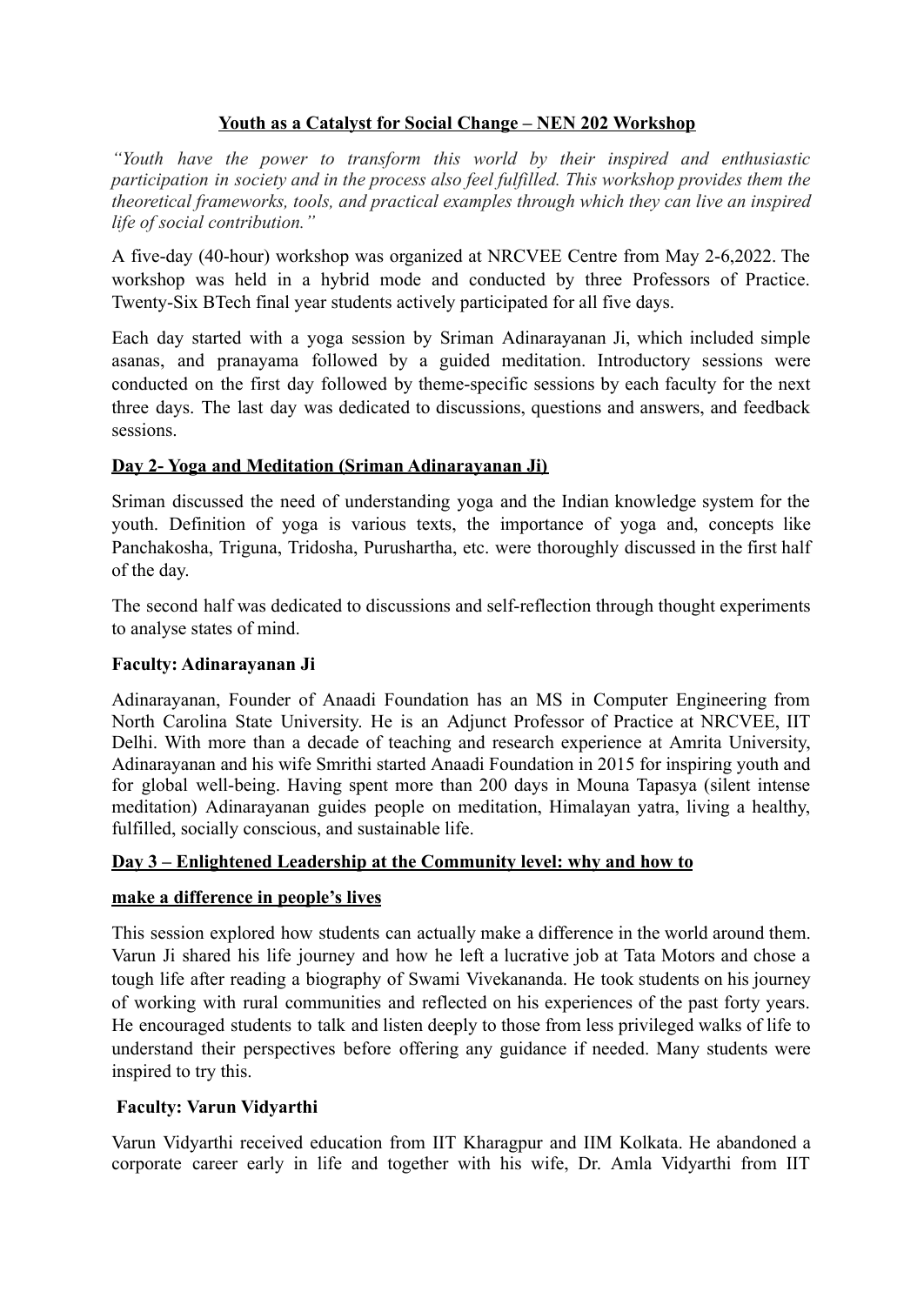## **Youth as a Catalyst for Social Change – NEN 202 Workshop**

*"Youth have the power to transform this world by their inspired and enthusiastic participation in society and in the process also feel fulfilled. This workshop provides them the theoretical frameworks, tools, and practical examples through which they can live an inspired life of social contribution."*

A five-day (40-hour) workshop was organized at NRCVEE Centre from May 2-6,2022. The workshop was held in a hybrid mode and conducted by three Professors of Practice. Twenty-Six BTech final year students actively participated for all five days.

Each day started with a yoga session by Sriman Adinarayanan Ji, which included simple asanas, and pranayama followed by a guided meditation. Introductory sessions were conducted on the first day followed by theme-specific sessions by each faculty for the next three days. The last day was dedicated to discussions, questions and answers, and feedback sessions.

### **Day 2- Yoga and Meditation (Sriman Adinarayanan Ji)**

Sriman discussed the need of understanding yoga and the Indian knowledge system for the youth. Definition of yoga is various texts, the importance of yoga and, concepts like Panchakosha, Triguna, Tridosha, Purushartha, etc. were thoroughly discussed in the first half of the day.

The second half was dedicated to discussions and self-reflection through thought experiments to analyse states of mind.

### **Faculty: Adinarayanan Ji**

Adinarayanan, Founder of Anaadi Foundation has an MS in Computer Engineering from North Carolina State University. He is an Adjunct Professor of Practice at NRCVEE, IIT Delhi. With more than a decade of teaching and research experience at Amrita University, Adinarayanan and his wife Smrithi started Anaadi Foundation in 2015 for inspiring youth and for global well-being. Having spent more than 200 days in Mouna Tapasya (silent intense meditation) Adinarayanan guides people on meditation, Himalayan yatra, living a healthy, fulfilled, socially conscious, and sustainable life.

### **Day 3 – Enlightened Leadership at the Community level: why and how to**

### **make a difference in people's lives**

This session explored how students can actually make a difference in the world around them. Varun Ji shared his life journey and how he left a lucrative job at Tata Motors and chose a tough life after reading a biography of Swami Vivekananda. He took students on his journey of working with rural communities and reflected on his experiences of the past forty years. He encouraged students to talk and listen deeply to those from less privileged walks of life to understand their perspectives before offering any guidance if needed. Many students were inspired to try this.

### **Faculty: Varun Vidyarthi**

Varun Vidyarthi received education from IIT Kharagpur and IIM Kolkata. He abandoned a corporate career early in life and together with his wife, Dr. Amla Vidyarthi from IIT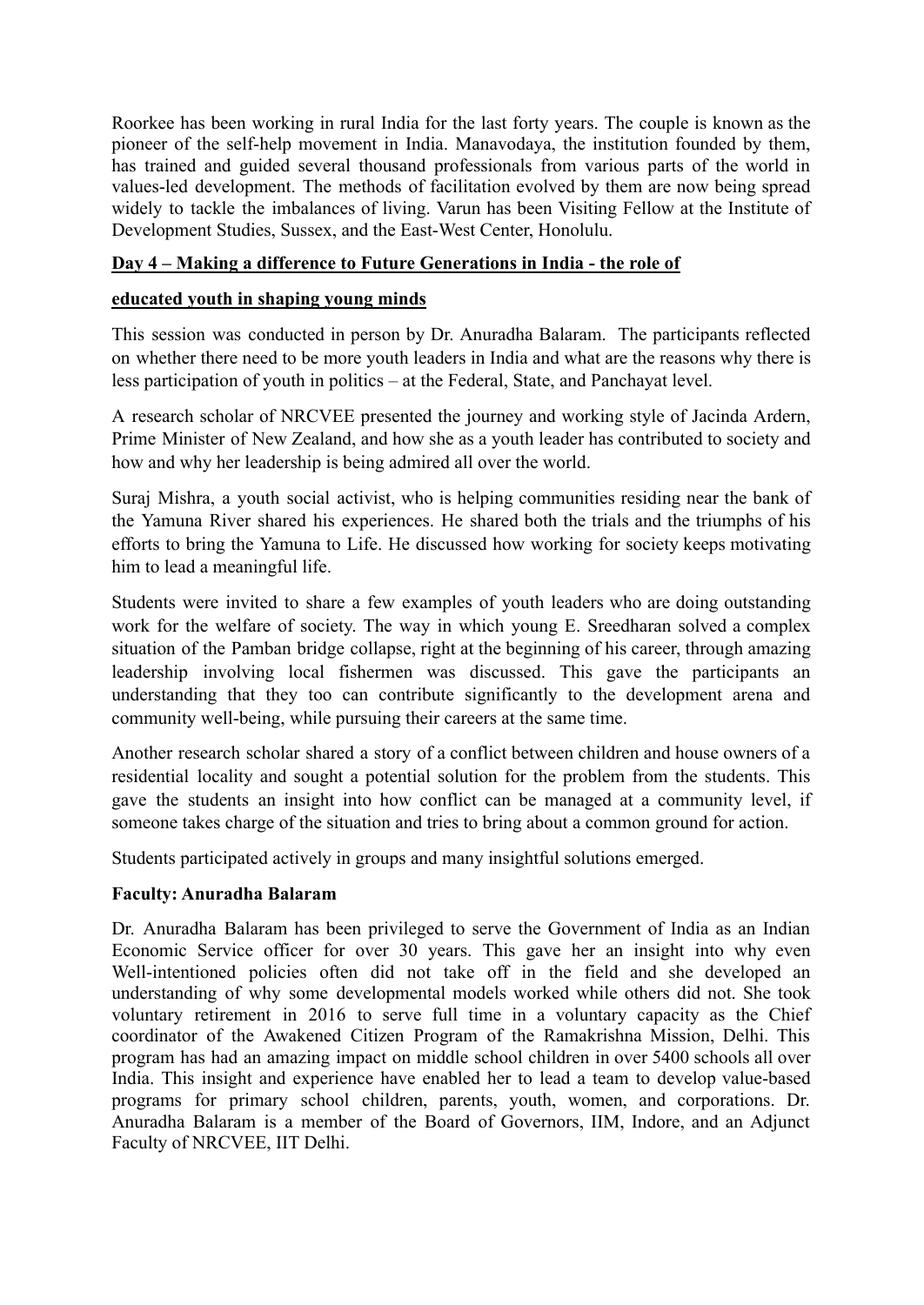Roorkee has been working in rural India for the last forty years. The couple is known as the pioneer of the self-help movement in India. Manavodaya, the institution founded by them, has trained and guided several thousand professionals from various parts of the world in values-led development. The methods of facilitation evolved by them are now being spread widely to tackle the imbalances of living. Varun has been Visiting Fellow at the Institute of Development Studies, Sussex, and the East-West Center, Honolulu.

# **Day 4 – Making a difference to Future Generations in India - the role of**

### **educated youth in shaping young minds**

This session was conducted in person by Dr. Anuradha Balaram. The participants reflected on whether there need to be more youth leaders in India and what are the reasons why there is less participation of youth in politics – at the Federal, State, and Panchayat level.

A research scholar of NRCVEE presented the journey and working style of Jacinda Ardern, Prime Minister of New Zealand, and how she as a youth leader has contributed to society and how and why her leadership is being admired all over the world.

Suraj Mishra, a youth social activist, who is helping communities residing near the bank of the Yamuna River shared his experiences. He shared both the trials and the triumphs of his efforts to bring the Yamuna to Life. He discussed how working for society keeps motivating him to lead a meaningful life.

Students were invited to share a few examples of youth leaders who are doing outstanding work for the welfare of society. The way in which young E. Sreedharan solved a complex situation of the Pamban bridge collapse, right at the beginning of his career, through amazing leadership involving local fishermen was discussed. This gave the participants an understanding that they too can contribute significantly to the development arena and community well-being, while pursuing their careers at the same time.

Another research scholar shared a story of a conflict between children and house owners of a residential locality and sought a potential solution for the problem from the students. This gave the students an insight into how conflict can be managed at a community level, if someone takes charge of the situation and tries to bring about a common ground for action.

Students participated actively in groups and many insightful solutions emerged.

#### **Faculty: Anuradha Balaram**

Dr. Anuradha Balaram has been privileged to serve the Government of India as an Indian Economic Service officer for over 30 years. This gave her an insight into why even Well-intentioned policies often did not take off in the field and she developed an understanding of why some developmental models worked while others did not. She took voluntary retirement in 2016 to serve full time in a voluntary capacity as the Chief coordinator of the Awakened Citizen Program of the Ramakrishna Mission, Delhi. This program has had an amazing impact on middle school children in over 5400 schools all over India. This insight and experience have enabled her to lead a team to develop value-based programs for primary school children, parents, youth, women, and corporations. Dr. Anuradha Balaram is a member of the Board of Governors, IIM, Indore, and an Adjunct Faculty of NRCVEE, IIT Delhi.